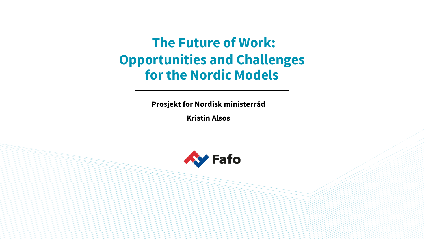**The Future of Work: Opportunities and Challenges for the Nordic Models** 

**Prosjekt for Nordisk ministerråd**

**Kristin Alsos**

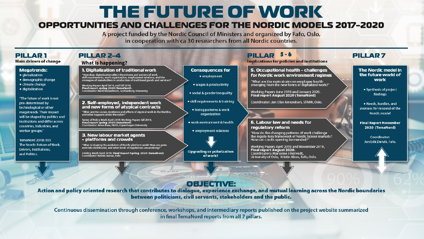# THE FUTURE OF WORK

### OPPORTUNITIES AND CHALLENGES FOR THE NORDIC MODELS 2017-2020

A project funded by the Nordic Council of Ministers and organized by Fafo, Oslo, in cooperation with ca 30 researchers from all Nordic countries.

#### $5 - 6$ **PILLAR1** PILLAR<sub>2-4</sub> **PILLAR PILLAR7 Main drivers of change** Implications for policies and institutions **What is happening? 5. Occupational health - challenges** The Nordic model in **Megatrends:** 1. Digitalization of traditional work **Consequences for** "How does digitalization affect the volume and pattern of work,<br>skill requirements, work organization, employment relations, and the<br>strategies of stakeholders in production of traditional goods and services?" for Nordic work environment regimes · alobalization the future world of • employment · demographic change work "What are the main strains on employee health<br>emerging from the new forms of digitalized work?" · climate change • wages & productivity Working Papers April 2019, and fall 2019.<br>Final report spring 2020 (TemaNord).<br>Coordinator: Bertil Rolandsson, Gothenburg University · digitalization • Synthesis of project Working Papers June 2019 and January 2020. · social & gender inequality findings Final report August 2020 (TemaNord) "The future of work is not · skill requirements & training 2. Self-employed, independent work Coordinator: Jan Olav Amundsen, STAMI, Oslo. pre-determined by • Needs, hurdles, and and new forms of atypical contracts technological or other avenues for renewal of the • hiring patterns & work "What are the causes, incidence and effects of atypical work in the Nordics,<br>and what happens under the radar?" megatrends. Their impact Nordic model organization will be shaped by politics and Series of Policy Briefs April 2019, Working Papers fall 2019,<br>Final report spring 2020 (TemaNord)<br>Coordinator: Anna Ilsøe, FAOS, Copenhagen University Institutions and differ across 6. Labour law and needs for • work environment & health **Final Report November** countries, industries, and requiatory reform 2020 (TemaNord) · employment relations worker groups." "How do the changing patterns of work challenge<br>the regula-tory framework of Nordic labour markets? 3. New labour market agents Coordinator: - platforms and crowds How can cracks opening be mended?" **TemaNord 2018: 555** Jon Erik Dølvik, Fafo. The Nordic Future of Work. "What is shaping the evolution of Nordic platform work? How are gains<br>and risks distributed, and what kinds of regulations are evolving?" Working Papers April 2019 and November 2019,<br>Final report August 2020. **Drivers, Institutions, Upgrading or polarization** 3 Policy Briefs April 2019, Final Report Spring 2020 (TemaNord)<br>Coordinator: Kristin Jesnes, Fafo Coordinators: Marianne J Hotvedt, and Politics. of work? University of Oslo, Kristin Alsos, Fafo, Oslo.  $95 - 8 - 18$  $1112 + 121121$ **OBJECTIVE:** Action and policy oriented research that contributes to dialogue, experience exchange, and mutual learning across the Nordic boundaries between politicians, civil servants, stakeholders and the public.

Continuous dissemination through conference, workshops, and intermediary reports published on the project website summarized in final TemaNord reports from all 7 pillars.